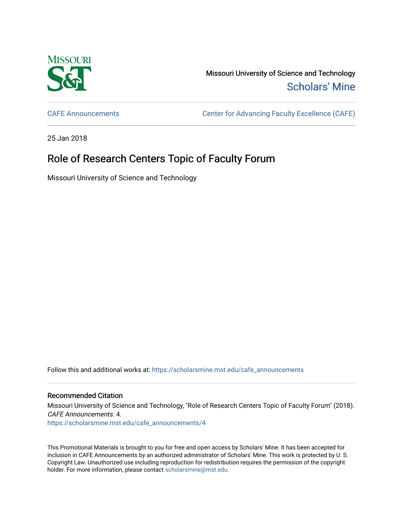

Missouri University of Science and Technology [Scholars' Mine](https://scholarsmine.mst.edu/) 

[CAFE Announcements](https://scholarsmine.mst.edu/cafe_announcements) [Center for Advancing Faculty Excellence \(CAFE\)](https://scholarsmine.mst.edu/cafe) 

25 Jan 2018

## Role of Research Centers Topic of Faculty Forum

Missouri University of Science and Technology

Follow this and additional works at: [https://scholarsmine.mst.edu/cafe\\_announcements](https://scholarsmine.mst.edu/cafe_announcements?utm_source=scholarsmine.mst.edu%2Fcafe_announcements%2F4&utm_medium=PDF&utm_campaign=PDFCoverPages) 

## Recommended Citation

Missouri University of Science and Technology, "Role of Research Centers Topic of Faculty Forum" (2018). CAFE Announcements. 4. [https://scholarsmine.mst.edu/cafe\\_announcements/4](https://scholarsmine.mst.edu/cafe_announcements/4?utm_source=scholarsmine.mst.edu%2Fcafe_announcements%2F4&utm_medium=PDF&utm_campaign=PDFCoverPages) 

This Promotional Materials is brought to you for free and open access by Scholars' Mine. It has been accepted for inclusion in CAFE Announcements by an authorized administrator of Scholars' Mine. This work is protected by U. S. Copyright Law. Unauthorized use including reproduction for redistribution requires the permission of the copyright holder. For more information, please contact [scholarsmine@mst.edu.](mailto:scholarsmine@mst.edu)